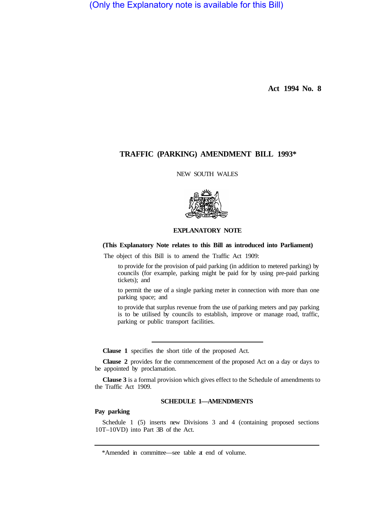(Only the Explanatory note is available for this Bill)

**Act 1994 No. 8** 

# **TRAFFIC (PARKING) AMENDMENT BILL 1993\***

NEW SOUTH WALES



## **EXPLANATORY NOTE**

## **(This Explanatory Note relates to this Bill as introduced into Parliament)**

The object of this Bill is to amend the Traffic Act 1909:

to provide for the provision of paid parking (in addition to metered parking) by councils (for example, parking might be paid for by using pre-paid parking tickets); and

to permit the use of a single parking meter in connection with more than one parking space; and

to provide that surplus revenue from the use of parking meters and pay parking is to be utilised by councils to establish, improve or manage road, traffic, parking or public transport facilities.

**Clause 1** specifies the short title of the proposed Act.

**Clause 2** provides for the commencement of the proposed Act on a day or days to be appointed by proclamation.

**Clause 3** is a formal provision which gives effect to the Schedule of amendments to the Traffic Act 1909.

## **SCHEDULE 1—AMENDMENTS**

## **Pay parking**

Schedule 1 (5) inserts new Divisions 3 and 4 (containing proposed sections 10T–10VD) into Part 3B of the Act.

<sup>\*</sup>Amended in committee—see table at end of volume.